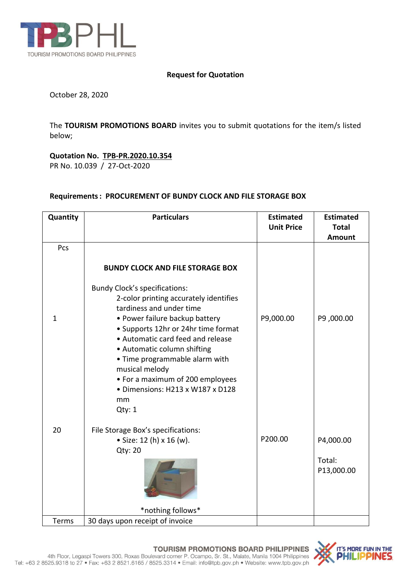

#### **Request for Quotation**

October 28, 2020

The **TOURISM PROMOTIONS BOARD** invites you to submit quotations for the item/s listed below;

# **Quotation No. TPB-PR.2020.10.354**

PR No. 10.039 / 27-Oct-2020

### **Requirements: PROCUREMENT OF BUNDY CLOCK AND FILE STORAGE BOX**

| Quantity     | <b>Particulars</b>                                                                                                                                                                                                                                                                                                                                                                                  | <b>Estimated</b><br><b>Unit Price</b> | <b>Estimated</b><br><b>Total</b>  |
|--------------|-----------------------------------------------------------------------------------------------------------------------------------------------------------------------------------------------------------------------------------------------------------------------------------------------------------------------------------------------------------------------------------------------------|---------------------------------------|-----------------------------------|
|              |                                                                                                                                                                                                                                                                                                                                                                                                     |                                       | <b>Amount</b>                     |
| Pcs          | <b>BUNDY CLOCK AND FILE STORAGE BOX</b>                                                                                                                                                                                                                                                                                                                                                             |                                       |                                   |
| $\mathbf{1}$ | <b>Bundy Clock's specifications:</b><br>2-color printing accurately identifies<br>tardiness and under time<br>• Power failure backup battery<br>• Supports 12hr or 24hr time format<br>• Automatic card feed and release<br>• Automatic column shifting<br>• Time programmable alarm with<br>musical melody<br>• For a maximum of 200 employees<br>· Dimensions: H213 x W187 x D128<br>mm<br>Qty: 1 | P9,000.00                             | P9,000.00                         |
| 20           | File Storage Box's specifications:<br>• Size: 12 (h) x 16 (w).<br>Qty: 20<br>*nothing follows*                                                                                                                                                                                                                                                                                                      | P200.00                               | P4,000.00<br>Total:<br>P13,000.00 |
| Terms        | 30 days upon receipt of invoice                                                                                                                                                                                                                                                                                                                                                                     |                                       |                                   |